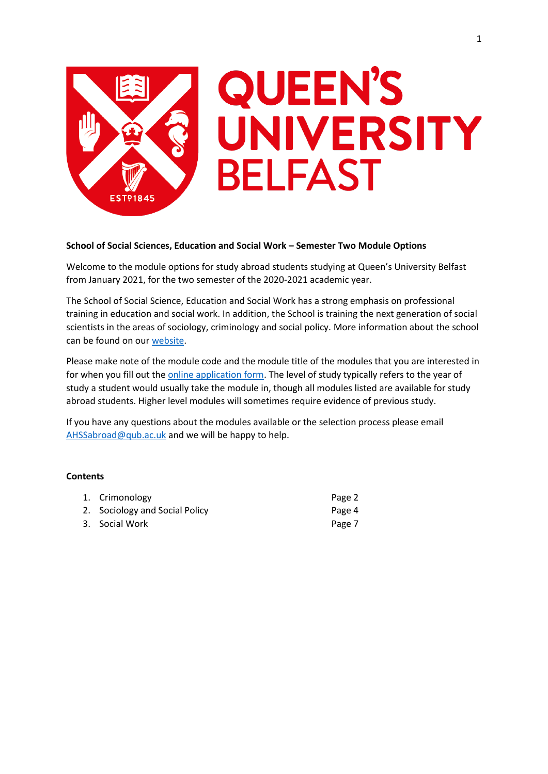

# **QUEEN'S** UNIVERSITY **BELFAST**

# **School of Social Sciences, Education and Social Work – Semester Two Module Options**

Welcome to the module options for study abroad students studying at Queen's University Belfast from January 2021, for the two semester of the 2020-2021 academic year.

The School of Social Science, Education and Social Work has a strong emphasis on professional training in education and social work. In addition, the School is training the next generation of social scientists in the areas of sociology, criminology and social policy. More information about the school can be found on our [website.](https://www.qub.ac.uk/schools/ssesw/)

Please make note of the module code and the module title of the modules that you are interested in for when you fill out the **online application form**. The level of study typically refers to the year of study a student would usually take the module in, though all modules listed are available for study abroad students. Higher level modules will sometimes require evidence of previous study.

If you have any questions about the modules available or the selection process please email [AHSSabroad@qub.ac.uk](mailto:AHSSabroad@qub.ac.uk) and we will be happy to help.

# **Contents**

| 1. Crimonology                 | Page 2 |
|--------------------------------|--------|
| 2. Sociology and Social Policy | Page 4 |
| 3. Social Work                 | Page 7 |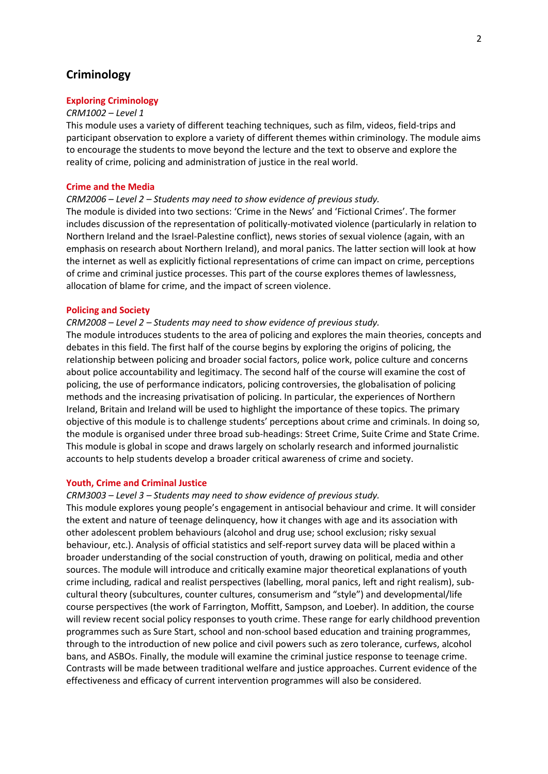# **Criminology**

# **Exploring Criminology**

#### *CRM1002 – Level 1*

This module uses a variety of different teaching techniques, such as film, videos, field-trips and participant observation to explore a variety of different themes within criminology. The module aims to encourage the students to move beyond the lecture and the text to observe and explore the reality of crime, policing and administration of justice in the real world.

## **Crime and the Media**

## *CRM2006 – Level 2 – Students may need to show evidence of previous study.*

The module is divided into two sections: 'Crime in the News' and 'Fictional Crimes'. The former includes discussion of the representation of politically-motivated violence (particularly in relation to Northern Ireland and the Israel-Palestine conflict), news stories of sexual violence (again, with an emphasis on research about Northern Ireland), and moral panics. The latter section will look at how the internet as well as explicitly fictional representations of crime can impact on crime, perceptions of crime and criminal justice processes. This part of the course explores themes of lawlessness, allocation of blame for crime, and the impact of screen violence.

#### **Policing and Society**

## *CRM2008 – Level 2 – Students may need to show evidence of previous study.*

The module introduces students to the area of policing and explores the main theories, concepts and debates in this field. The first half of the course begins by exploring the origins of policing, the relationship between policing and broader social factors, police work, police culture and concerns about police accountability and legitimacy. The second half of the course will examine the cost of policing, the use of performance indicators, policing controversies, the globalisation of policing methods and the increasing privatisation of policing. In particular, the experiences of Northern Ireland, Britain and Ireland will be used to highlight the importance of these topics. The primary objective of this module is to challenge students' perceptions about crime and criminals. In doing so, the module is organised under three broad sub-headings: Street Crime, Suite Crime and State Crime. This module is global in scope and draws largely on scholarly research and informed journalistic accounts to help students develop a broader critical awareness of crime and society.

#### **Youth, Crime and Criminal Justice**

#### *CRM3003 – Level 3 – Students may need to show evidence of previous study.*

This module explores young people's engagement in antisocial behaviour and crime. It will consider the extent and nature of teenage delinquency, how it changes with age and its association with other adolescent problem behaviours (alcohol and drug use; school exclusion; risky sexual behaviour, etc.). Analysis of official statistics and self-report survey data will be placed within a broader understanding of the social construction of youth, drawing on political, media and other sources. The module will introduce and critically examine major theoretical explanations of youth crime including, radical and realist perspectives (labelling, moral panics, left and right realism), subcultural theory (subcultures, counter cultures, consumerism and "style") and developmental/life course perspectives (the work of Farrington, Moffitt, Sampson, and Loeber). In addition, the course will review recent social policy responses to youth crime. These range for early childhood prevention programmes such as Sure Start, school and non-school based education and training programmes, through to the introduction of new police and civil powers such as zero tolerance, curfews, alcohol bans, and ASBOs. Finally, the module will examine the criminal justice response to teenage crime. Contrasts will be made between traditional welfare and justice approaches. Current evidence of the effectiveness and efficacy of current intervention programmes will also be considered.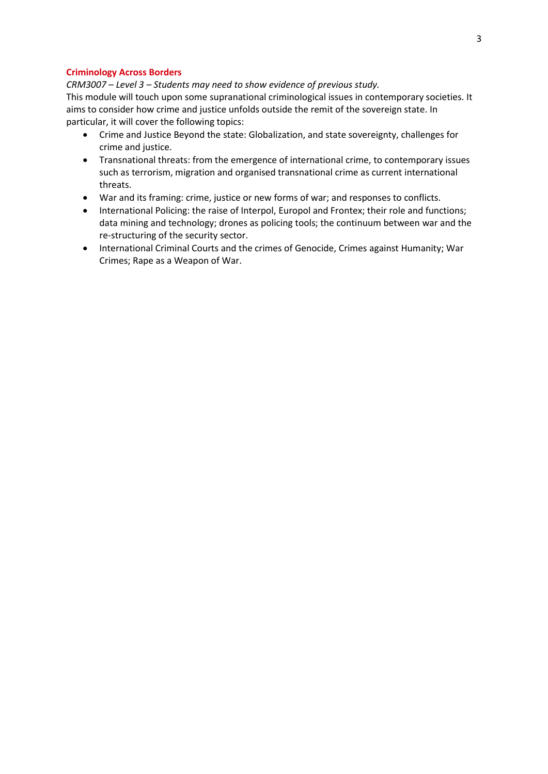# **Criminology Across Borders**

*CRM3007 – Level 3 – Students may need to show evidence of previous study.* This module will touch upon some supranational criminological issues in contemporary societies. It aims to consider how crime and justice unfolds outside the remit of the sovereign state. In particular, it will cover the following topics:

- Crime and Justice Beyond the state: Globalization, and state sovereignty, challenges for crime and justice.
- Transnational threats: from the emergence of international crime, to contemporary issues such as terrorism, migration and organised transnational crime as current international threats.
- War and its framing: crime, justice or new forms of war; and responses to conflicts.
- International Policing: the raise of Interpol, Europol and Frontex; their role and functions; data mining and technology; drones as policing tools; the continuum between war and the re-structuring of the security sector.
- International Criminal Courts and the crimes of Genocide, Crimes against Humanity; War Crimes; Rape as a Weapon of War.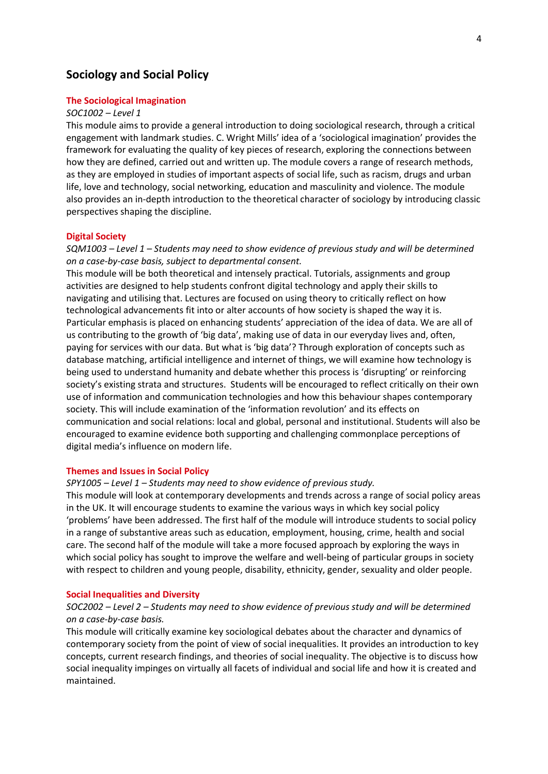# **Sociology and Social Policy**

# **The Sociological Imagination**

#### *SOC1002 – Level 1*

This module aims to provide a general introduction to doing sociological research, through a critical engagement with landmark studies. C. Wright Mills' idea of a 'sociological imagination' provides the framework for evaluating the quality of key pieces of research, exploring the connections between how they are defined, carried out and written up. The module covers a range of research methods, as they are employed in studies of important aspects of social life, such as racism, drugs and urban life, love and technology, social networking, education and masculinity and violence. The module also provides an in-depth introduction to the theoretical character of sociology by introducing classic perspectives shaping the discipline.

#### **Digital Society**

*SQM1003 – Level 1 – Students may need to show evidence of previous study and will be determined on a case-by-case basis, subject to departmental consent.*

This module will be both theoretical and intensely practical. Tutorials, assignments and group activities are designed to help students confront digital technology and apply their skills to navigating and utilising that. Lectures are focused on using theory to critically reflect on how technological advancements fit into or alter accounts of how society is shaped the way it is. Particular emphasis is placed on enhancing students' appreciation of the idea of data. We are all of us contributing to the growth of 'big data', making use of data in our everyday lives and, often, paying for services with our data. But what is 'big data'? Through exploration of concepts such as database matching, artificial intelligence and internet of things, we will examine how technology is being used to understand humanity and debate whether this process is 'disrupting' or reinforcing society's existing strata and structures. Students will be encouraged to reflect critically on their own use of information and communication technologies and how this behaviour shapes contemporary society. This will include examination of the 'information revolution' and its effects on communication and social relations: local and global, personal and institutional. Students will also be encouraged to examine evidence both supporting and challenging commonplace perceptions of digital media's influence on modern life.

#### **Themes and Issues in Social Policy**

*SPY1005 – Level 1 – Students may need to show evidence of previous study.*

This module will look at contemporary developments and trends across a range of social policy areas in the UK. It will encourage students to examine the various ways in which key social policy 'problems' have been addressed. The first half of the module will introduce students to social policy in a range of substantive areas such as education, employment, housing, crime, health and social care. The second half of the module will take a more focused approach by exploring the ways in which social policy has sought to improve the welfare and well-being of particular groups in society with respect to children and young people, disability, ethnicity, gender, sexuality and older people.

#### **Social Inequalities and Diversity**

# *SOC2002 – Level 2 – Students may need to show evidence of previous study and will be determined on a case-by-case basis.*

This module will critically examine key sociological debates about the character and dynamics of contemporary society from the point of view of social inequalities. It provides an introduction to key concepts, current research findings, and theories of social inequality. The objective is to discuss how social inequality impinges on virtually all facets of individual and social life and how it is created and maintained.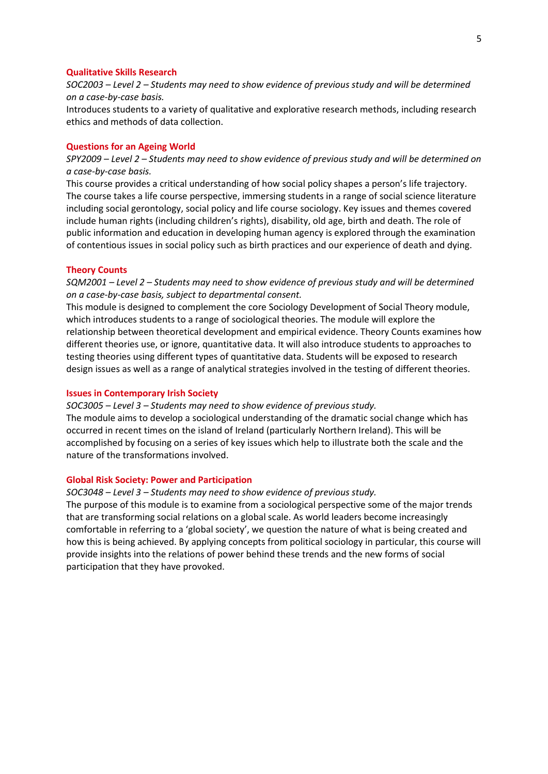# **Qualitative Skills Research**

*SOC2003 – Level 2 – Students may need to show evidence of previous study and will be determined on a case-by-case basis.*

Introduces students to a variety of qualitative and explorative research methods, including research ethics and methods of data collection.

#### **Questions for an Ageing World**

*SPY2009 – Level 2 – Students may need to show evidence of previous study and will be determined on a case-by-case basis.*

This course provides a critical understanding of how social policy shapes a person's life trajectory. The course takes a life course perspective, immersing students in a range of social science literature including social gerontology, social policy and life course sociology. Key issues and themes covered include human rights (including children's rights), disability, old age, birth and death. The role of public information and education in developing human agency is explored through the examination of contentious issues in social policy such as birth practices and our experience of death and dying.

#### **Theory Counts**

*SQM2001 – Level 2 – Students may need to show evidence of previous study and will be determined on a case-by-case basis, subject to departmental consent.*

This module is designed to complement the core Sociology Development of Social Theory module, which introduces students to a range of sociological theories. The module will explore the relationship between theoretical development and empirical evidence. Theory Counts examines how different theories use, or ignore, quantitative data. It will also introduce students to approaches to testing theories using different types of quantitative data. Students will be exposed to research design issues as well as a range of analytical strategies involved in the testing of different theories.

#### **Issues in Contemporary Irish Society**

*SOC3005 – Level 3 – Students may need to show evidence of previous study.*

The module aims to develop a sociological understanding of the dramatic social change which has occurred in recent times on the island of Ireland (particularly Northern Ireland). This will be accomplished by focusing on a series of key issues which help to illustrate both the scale and the nature of the transformations involved.

## **Global Risk Society: Power and Participation**

#### *SOC3048 – Level 3 – Students may need to show evidence of previous study.*

The purpose of this module is to examine from a sociological perspective some of the major trends that are transforming social relations on a global scale. As world leaders become increasingly comfortable in referring to a 'global society', we question the nature of what is being created and how this is being achieved. By applying concepts from political sociology in particular, this course will provide insights into the relations of power behind these trends and the new forms of social participation that they have provoked.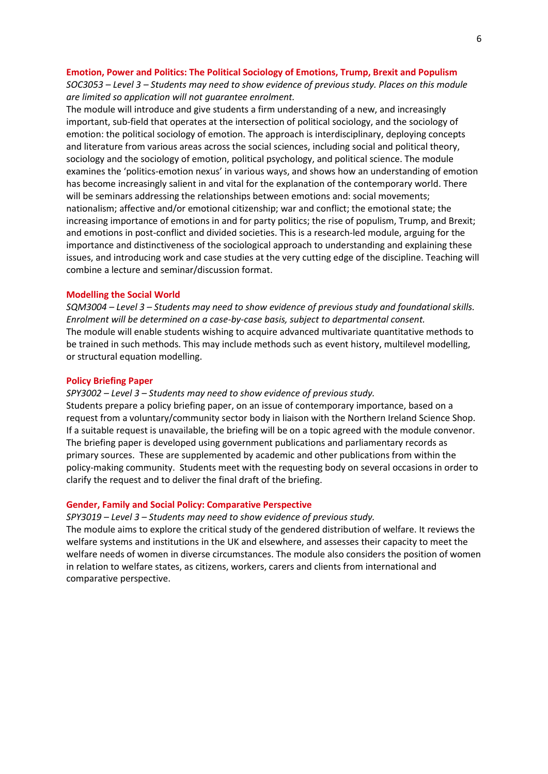#### **Emotion, Power and Politics: The Political Sociology of Emotions, Trump, Brexit and Populism**

*SOC3053 – Level 3 – Students may need to show evidence of previous study. Places on this module are limited so application will not guarantee enrolment.*

The module will introduce and give students a firm understanding of a new, and increasingly important, sub-field that operates at the intersection of political sociology, and the sociology of emotion: the political sociology of emotion. The approach is interdisciplinary, deploying concepts and literature from various areas across the social sciences, including social and political theory, sociology and the sociology of emotion, political psychology, and political science. The module examines the 'politics-emotion nexus' in various ways, and shows how an understanding of emotion has become increasingly salient in and vital for the explanation of the contemporary world. There will be seminars addressing the relationships between emotions and: social movements; nationalism; affective and/or emotional citizenship; war and conflict; the emotional state; the increasing importance of emotions in and for party politics; the rise of populism, Trump, and Brexit; and emotions in post-conflict and divided societies. This is a research-led module, arguing for the importance and distinctiveness of the sociological approach to understanding and explaining these issues, and introducing work and case studies at the very cutting edge of the discipline. Teaching will combine a lecture and seminar/discussion format.

#### **Modelling the Social World**

*SQM3004 – Level 3 – Students may need to show evidence of previous study and foundational skills. Enrolment will be determined on a case-by-case basis, subject to departmental consent.* The module will enable students wishing to acquire advanced multivariate quantitative methods to be trained in such methods. This may include methods such as event history, multilevel modelling, or structural equation modelling.

#### **Policy Briefing Paper**

#### *SPY3002 – Level 3 – Students may need to show evidence of previous study.*

Students prepare a policy briefing paper, on an issue of contemporary importance, based on a request from a voluntary/community sector body in liaison with the Northern Ireland Science Shop. If a suitable request is unavailable, the briefing will be on a topic agreed with the module convenor. The briefing paper is developed using government publications and parliamentary records as primary sources. These are supplemented by academic and other publications from within the policy-making community. Students meet with the requesting body on several occasions in order to clarify the request and to deliver the final draft of the briefing.

#### **Gender, Family and Social Policy: Comparative Perspective**

#### *SPY3019 – Level 3 – Students may need to show evidence of previous study.*

The module aims to explore the critical study of the gendered distribution of welfare. It reviews the welfare systems and institutions in the UK and elsewhere, and assesses their capacity to meet the welfare needs of women in diverse circumstances. The module also considers the position of women in relation to welfare states, as citizens, workers, carers and clients from international and comparative perspective.